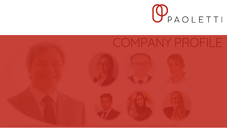

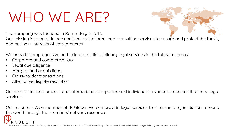# **WHO WE ARE?**



**The company was founded in Rome, Italy in 1947.**

Our mission is to provide personalized and tailored legal consulting services to ensure and protect the family **and business interests of entrepreneurs.**

**We provide comprehensive and tailored multidisciplinary legal services in the following areas:**

- **Corporate and commercial law**
- **Legal due diligence**
- **Mergers and acquisitions**
- **Cross-border transactions**
- **Alternative dispute resolution**

**Our clients include domestic and international companies and individuals in various industries that need legal services.**

Our resources As a member of IR Global, we can provide legal services to clients in 155 jurisdictions around **the world through the members' network resources**

**The content of this presentation is proprietary and confidential information of Paoletti Law Group. It is not intended to be distributed to any third party without prior consent.**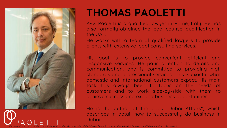

#### **THOMAS PAOLETTI**

**Avv. Paoletti is a qualified lawyer in Rome, Italy. He has also formally obtained the legal counsel qualification in the UAE.**

**He works with a team of qualified lawyers to provide clients with extensive legal consulting services.**

**His goal is to provide convenient, efficient and responsive services. He pays attention to details and communication, and is committed to providing high standards and professional services. This is exactly what domestic and international customers expect. His main task has always been to focus on the needs of customers and to work side-by-side with them to achieve success and expand business opportunities.**

**He is the author of the book "Dubai Affairs", which describes in detail how to successfully do business in Dubai.**

oup. It is not intended to be distributed to any third party without prior consent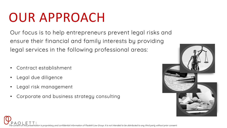## OUR APPROACH

**Our focus is to help entrepreneurs prevent legal risks and ensure their financial and family interests by providing legal services in the following professional areas:**

- **Contract establishment**
- **Legal due diligence**
- **Legal risk management**
- **Corporate and business strategy consulting**



tation is proprietary and confidential information of Paoletti Law Group. It is not intended to be distributed to any third party without prior consent.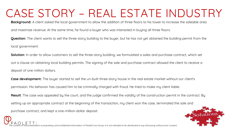#### **CASE STORY – REAL ESTATE INDUSTRY**

**Background: A client asked the local government to allow the addition of three floors to his tower to increase the saleable area** 

**and maximize revenue. At the same time, he found a buyer who was interested in buying all three floors.**

**Question:** The client wants to sell the three-story building to the buyer, but he has not yet obtained the building permit from the **local government.**

**Solution:** In order to allow customers to sell the three-story building, we formulated a sales and purchase contract, which set **out a clause on obtaining local building permits. The signing of the sale and purchase contract allowed the client to receive a deposit of one million dollars.**

**Case development: The buyer started to sell the un-built three-story house in the real estate market without our client's permission. His behavior has caused him to be criminally charged with fraud. He tried to make my client liable.**

**Result:** The case was appealed by the court, and the judge confirmed the validity of the construction permit in the contract. By **setting up an appropriate contract at the beginning of the transaction, my client won the case, terminated the sale and purchase contract, and kept a one-million-dollar deposit.**

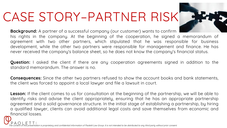### **CASE STORY–PARTNER RISK**

**Background: A partner of a successful company (our customer) wants to confirm his rights in the company. At the beginning of the cooperation, he signed a memorandum of agreement with two other partners, which stipulated that he was responsible for business development, while the other two partners were responsible for management and finance. He has never received the company's balance sheet, so he does not know the company's financial status.**

**Question: I asked the client if there are any cooperation agreements signed in addition to the standard memorandum. The answer is no.**

**Consequences: Since the other two partners refused to show the account books and bank statements, the client was forced to appoint a local lawyer and file a lawsuit in court.**

**Lesson:** If the client comes to us for consultation at the beginning of the partnership, we will be able to **identify risks and advise the client appropriately, ensuring that he has an appropriate partnership agreement and a solid governance structure. In the initial stage of establishing a partnership, by hiring a qualified lawyer, clients can avoid additional legal costs and save themselves from economic and financial losses.**

**The content of this presentation is proprietary and confidential information of Paoletti Law Group. It is not intended to be distributed to any third party without prior consent.**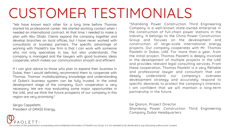# **CUSTOMER TESTIMONIALS**

**"We have known each other for a long time before Thomas started his professional career. We started working contact when I needed an international contract. At that time, I needed to make a plan with Abu Dhabi. Clients expand the company together and develop branches on local offices, but I have never worked with consultants or business partners. The specific advantage of working with Paoletti's law firm is that I can work with someone who not only specializes in law, but also understands. The company is managed and the lawyers with good business ideas cooperate, which makes our communication smooth and efficient.**

**If I can give advice to those who plan to expand their business in Dubai, then I would definitely recommend them to cooperate with Thomas. Thomas' multidisciplinary knowledge and understanding of Dubai's business system can be fully trusted. In the initial development stage of the company, Such cooperation is very necessary. We are now evaluating some major opportunities in the UAE, and we think the future prospects of our company in this region are very promising."**

**Sergio Cappelletti, President of DRASS Energy**

**"Shandong Power Construction Third Engineering Company is a well-known state-owned enterprise in the construction of full-chain power stations in the industry. It belongs to the China Power Construction Group and focuses on the development and construction of large-scale international energy projects. Our company cooperates with Mr. Thomas Paoletti in Dubai, UAE. For more than a year, from the initial project, Thomas Paoletti is deeply involved in the development of multiple projects in the UAE and provides relevant legal consulting services. From these cooperation, Thomas Paoletti is a very Reliable and professional lawyer and consultant that can deeply understand our company's overseas development strategy and accurately respond to specific demands to protect the company's interests. I am confident that we will maintain a long-term partnership in the future.**

**Ge Qianjin, Project Director Shandong Power Construction Third Engineering Company Dubai Headquarters**

**The content of this presentation is proprietary and confidential information of Paoletti Law Group. It is not intended to be distributed to any third party without prior consent.**